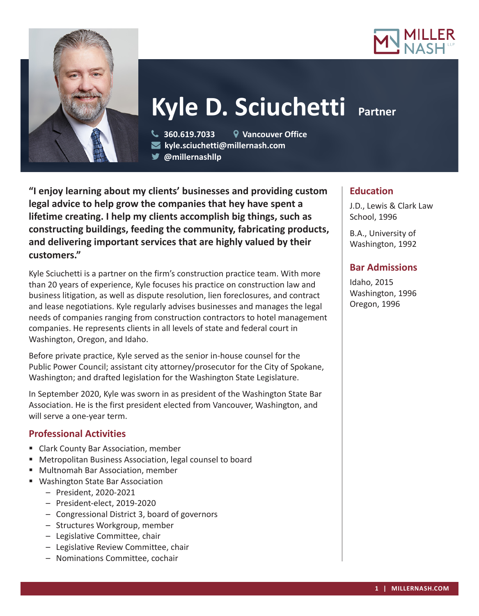



# **Kyle D. Sciuchetti Partner**

 **360.619.7033 Vancouver Office kyle.sciuchetti@millernash.com** 

**@millernashllp** 

**"I enjoy learning about my clients' businesses and providing custom legal advice to help grow the companies that hey have spent a lifetime creating. I help my clients accomplish big things, such as constructing buildings, feeding the community, fabricating products, and delivering important services that are highly valued by their customers."**

Kyle Sciuchetti is a partner on the firm's construction practice team. With more than 20 years of experience, Kyle focuses his practice on construction law and business litigation, as well as dispute resolution, lien foreclosures, and contract and lease negotiations. Kyle regularly advises businesses and manages the legal needs of companies ranging from construction contractors to hotel management companies. He represents clients in all levels of state and federal court in Washington, Oregon, and Idaho.

Before private practice, Kyle served as the senior in-house counsel for the Public Power Council; assistant city attorney/prosecutor for the City of Spokane, Washington; and drafted legislation for the Washington State Legislature.

In September 2020, Kyle was sworn in as president of the Washington State Bar Association. He is the first president elected from Vancouver, Washington, and will serve a one-year term.

# **Professional Activities**

- Clark County Bar Association, member
- Metropolitan Business Association, legal counsel to board
- Multnomah Bar Association, member
- Washington State Bar Association
	- President, 2020-2021
	- President-elect, 2019-2020
	- Congressional District 3, board of governors
	- Structures Workgroup, member
	- Legislative Committee, chair
	- Legislative Review Committee, chair
	- Nominations Committee, cochair

## **Education**

J.D., Lewis & Clark Law School, 1996

B.A., University of Washington, 1992

## **Bar Admissions**

Idaho, 2015 Washington, 1996 Oregon, 1996